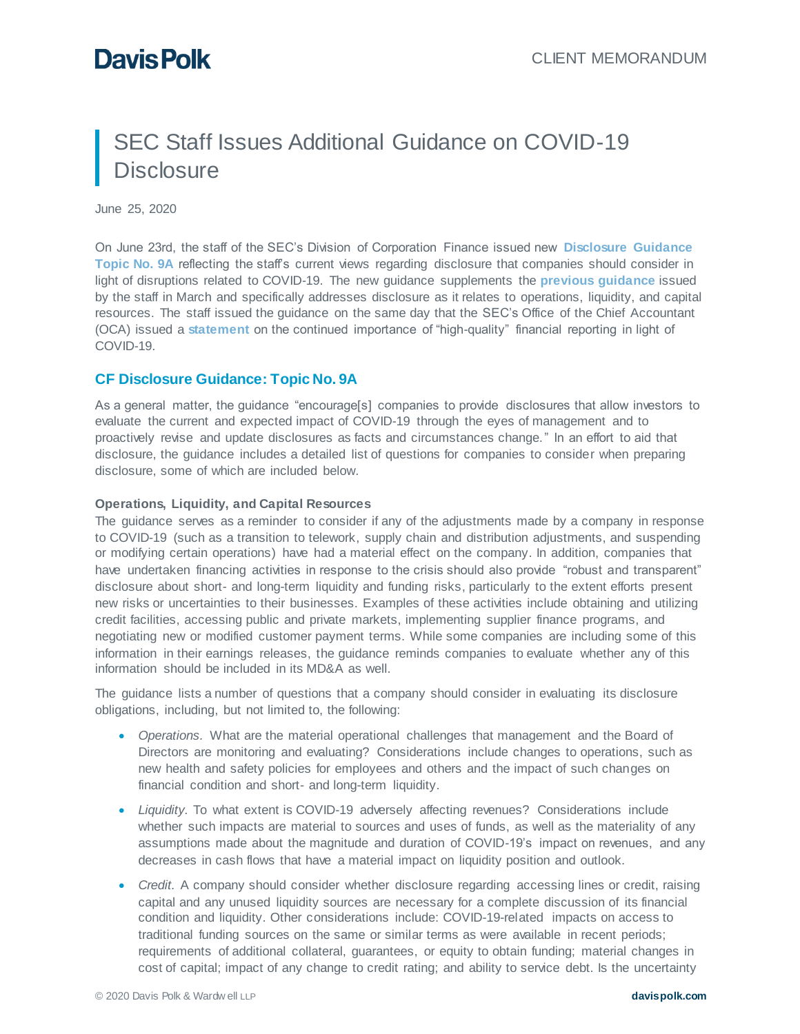# SEC Staff Issues Additional Guidance on COVID-19 **Disclosure**

June 25, 2020

On June 23rd, the staff of the SEC's Division of Corporation Finance issued new **[Disclosure Guidance](https://www.sec.gov/corpfin/covid-19-disclosure-considerations)  [Topic No. 9A](https://www.sec.gov/corpfin/covid-19-disclosure-considerations)** reflecting the staff's current views regarding disclosure that companies should consider in light of disruptions related to COVID-19. The new guidance supplements the **[previous guidance](https://www.sec.gov/corpfin/coronavirus-covid-19)** issued by the staff in March and specifically addresses disclosure as it relates to operations, liquidity, and capital resources. The staff issued the guidance on the same day that the SEC's Office of the Chief Accountant (OCA) issued a **[statement](https://www.sec.gov/news/public-statement/teotia-financial-reporting-covid-19-2020-06-23)** on the continued importance of "high-quality" financial reporting in light of COVID-19.

### **CF Disclosure Guidance: Topic No. 9A**

As a general matter, the guidance "encourage[s] companies to provide disclosures that allow investors to evaluate the current and expected impact of COVID-19 through the eyes of management and to proactively revise and update disclosures as facts and circumstances change." In an effort to aid that disclosure, the guidance includes a detailed list of questions for companies to consider when preparing disclosure, some of which are included below.

### **Operations, Liquidity, and Capital Resources**

The guidance serves as a reminder to consider if any of the adjustments made by a company in response to COVID-19 (such as a transition to telework, supply chain and distribution adjustments, and suspending or modifying certain operations) have had a material effect on the company. In addition, companies that have undertaken financing activities in response to the crisis should also provide "robust and transparent" disclosure about short- and long-term liquidity and funding risks, particularly to the extent efforts present new risks or uncertainties to their businesses. Examples of these activities include obtaining and utilizing credit facilities, accessing public and private markets, implementing supplier finance programs, and negotiating new or modified customer payment terms. While some companies are including some of this information in their earnings releases, the guidance reminds companies to evaluate whether any of this information should be included in its MD&A as well.

The guidance lists a number of questions that a company should consider in evaluating its disclosure obligations, including, but not limited to, the following:

- *Operations.* What are the material operational challenges that management and the Board of Directors are monitoring and evaluating? Considerations include changes to operations, such as new health and safety policies for employees and others and the impact of such changes on financial condition and short- and long-term liquidity.
- *Liquidity*. To what extent is COVID-19 adversely affecting revenues? Considerations include whether such impacts are material to sources and uses of funds, as well as the materiality of any assumptions made about the magnitude and duration of COVID-19's impact on revenues, and any decreases in cash flows that have a material impact on liquidity position and outlook.
- Credit. A company should consider whether disclosure regarding accessing lines or credit, raising capital and any unused liquidity sources are necessary for a complete discussion of its financial condition and liquidity. Other considerations include: COVID-19-related impacts on access to traditional funding sources on the same or similar terms as were available in recent periods; requirements of additional collateral, guarantees, or equity to obtain funding; material changes in cost of capital; impact of any change to credit rating; and ability to service debt. Is the uncertainty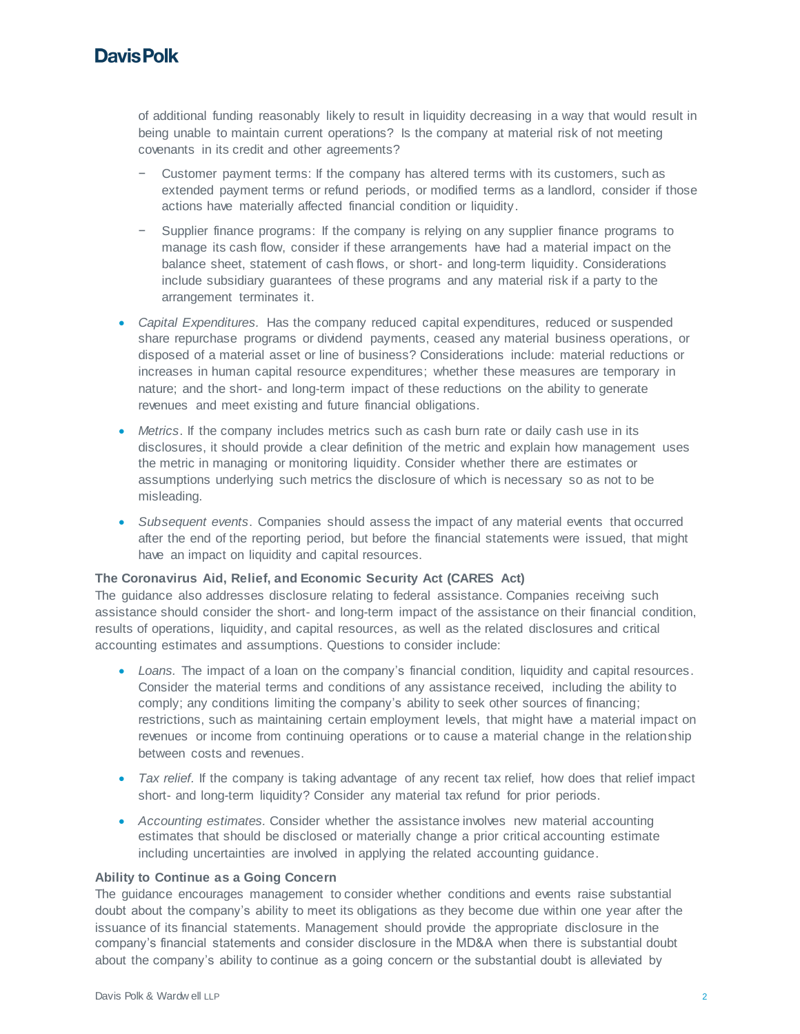# **Davis Polk**

of additional funding reasonably likely to result in liquidity decreasing in a way that would result in being unable to maintain current operations? Is the company at material risk of not meeting covenants in its credit and other agreements?

- − Customer payment terms: If the company has altered terms with its customers, such as extended payment terms or refund periods, or modified terms as a landlord, consider if those actions have materially affected financial condition or liquidity.
- − Supplier finance programs: If the company is relying on any supplier finance programs to manage its cash flow, consider if these arrangements have had a material impact on the balance sheet, statement of cash flows, or short- and long-term liquidity. Considerations include subsidiary guarantees of these programs and any material risk if a party to the arrangement terminates it.
- *Capital Expenditures.* Has the company reduced capital expenditures, reduced or suspended share repurchase programs or dividend payments, ceased any material business operations, or disposed of a material asset or line of business? Considerations include: material reductions or increases in human capital resource expenditures; whether these measures are temporary in nature; and the short- and long-term impact of these reductions on the ability to generate revenues and meet existing and future financial obligations.
- *Metrics*. If the company includes metrics such as cash burn rate or daily cash use in its disclosures, it should provide a clear definition of the metric and explain how management uses the metric in managing or monitoring liquidity. Consider whether there are estimates or assumptions underlying such metrics the disclosure of which is necessary so as not to be misleading.
- *Subsequent events*. Companies should assess the impact of any material events that occurred after the end of the reporting period, but before the financial statements were issued, that might have an impact on liquidity and capital resources.

### **The Coronavirus Aid, Relief, and Economic Security Act (CARES Act)**

The guidance also addresses disclosure relating to federal assistance. Companies receiving such assistance should consider the short- and long-term impact of the assistance on their financial condition, results of operations, liquidity, and capital resources, as well as the related disclosures and critical accounting estimates and assumptions. Questions to consider include:

- Loans. The impact of a loan on the company's financial condition, liquidity and capital resources. Consider the material terms and conditions of any assistance received, including the ability to comply; any conditions limiting the company's ability to seek other sources of financing; restrictions, such as maintaining certain employment levels, that might have a material impact on revenues or income from continuing operations or to cause a material change in the relationship between costs and revenues.
- *Tax relief.* If the company is taking advantage of any recent tax relief, how does that relief impact short- and long-term liquidity? Consider any material tax refund for prior periods.
- *Accounting estimates.* Consider whether the assistance involves new material accounting estimates that should be disclosed or materially change a prior critical accounting estimate including uncertainties are involved in applying the related accounting guidance.

### **Ability to Continue as a Going Concern**

The guidance encourages management to consider whether conditions and events raise substantial doubt about the company's ability to meet its obligations as they become due within one year after the issuance of its financial statements. Management should provide the appropriate disclosure in the company's financial statements and consider disclosure in the MD&A when there is substantial doubt about the company's ability to continue as a going concern or the substantial doubt is alleviated by